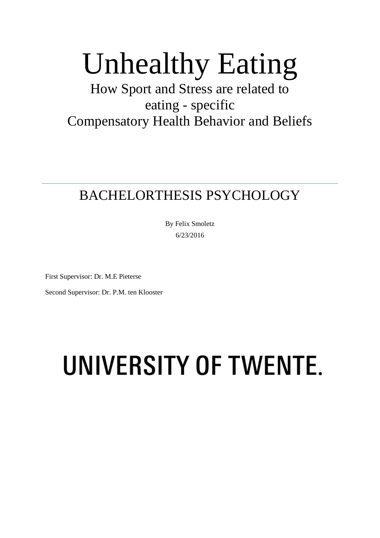# Unhealthy Eating

# How Sport and Stress are related to eating - specific Compensatory Health Behavior and Beliefs

# BACHELORTHESIS PSYCHOLOGY

By Felix Smoletz 6/23/2016

First Supervisor: Dr. M.E Pieterse

Second Supervisor: Dr. P.M. ten Klooster

# UNIVERSITY OF TWENTE.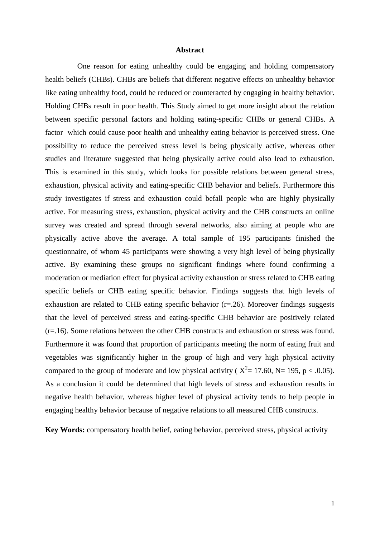#### **Abstract**

One reason for eating unhealthy could be engaging and holding compensatory health beliefs (CHBs). CHBs are beliefs that different negative effects on unhealthy behavior like eating unhealthy food, could be reduced or counteracted by engaging in healthy behavior. Holding CHBs result in poor health. This Study aimed to get more insight about the relation between specific personal factors and holding eating-specific CHBs or general CHBs. A factor which could cause poor health and unhealthy eating behavior is perceived stress. One possibility to reduce the perceived stress level is being physically active, whereas other studies and literature suggested that being physically active could also lead to exhaustion. This is examined in this study, which looks for possible relations between general stress, exhaustion, physical activity and eating-specific CHB behavior and beliefs. Furthermore this study investigates if stress and exhaustion could befall people who are highly physically active. For measuring stress, exhaustion, physical activity and the CHB constructs an online survey was created and spread through several networks, also aiming at people who are physically active above the average. A total sample of 195 participants finished the questionnaire, of whom 45 participants were showing a very high level of being physically active. By examining these groups no significant findings where found confirming a moderation or mediation effect for physical activity exhaustion or stress related to CHB eating specific beliefs or CHB eating specific behavior. Findings suggests that high levels of exhaustion are related to CHB eating specific behavior  $(r=0.26)$ . Moreover findings suggests that the level of perceived stress and eating-specific CHB behavior are positively related (r=.16). Some relations between the other CHB constructs and exhaustion or stress was found. Furthermore it was found that proportion of participants meeting the norm of eating fruit and vegetables was significantly higher in the group of high and very high physical activity compared to the group of moderate and low physical activity ( $X^2 = 17.60$ , N= 195, p < .0.05). As a conclusion it could be determined that high levels of stress and exhaustion results in negative health behavior, whereas higher level of physical activity tends to help people in engaging healthy behavior because of negative relations to all measured CHB constructs.

**Key Words:** compensatory health belief, eating behavior, perceived stress, physical activity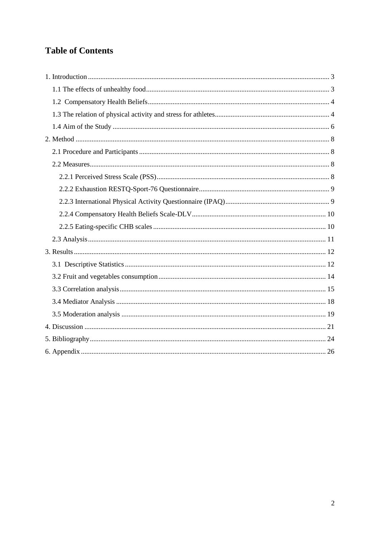# **Table of Contents**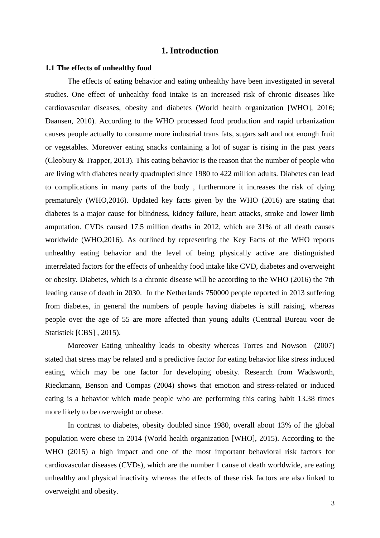# **1. Introduction**

#### <span id="page-3-1"></span><span id="page-3-0"></span>**1.1 The effects of unhealthy food**

The effects of eating behavior and eating unhealthy have been investigated in several studies. One effect of unhealthy food intake is an increased risk of chronic diseases like cardiovascular diseases, obesity and diabetes (World health organization [WHO], 2016; Daansen, 2010). According to the WHO processed food production and rapid urbanization causes people actually to consume more industrial trans fats, sugars salt and not enough fruit or vegetables. Moreover eating snacks containing a lot of sugar is rising in the past years (Cleobury & Trapper, 2013). This eating behavior is the reason that the number of people who are living with diabetes nearly quadrupled since 1980 to 422 million adults. Diabetes can lead to complications in many parts of the body , furthermore it increases the risk of dying prematurely (WHO,2016). Updated key facts given by the WHO (2016) are stating that diabetes is a major cause for blindness, kidney failure, heart attacks, stroke and lower limb amputation. CVDs caused 17.5 million deaths in 2012, which are 31% of all death causes worldwide (WHO,2016). As outlined by representing the Key Facts of the WHO reports unhealthy eating behavior and the level of being physically active are distinguished interrelated factors for the effects of unhealthy food intake like CVD, diabetes and overweight or obesity. Diabetes, which is a chronic disease will be according to the WHO (2016) the 7th leading cause of death in 2030. In the Netherlands 750000 people reported in 2013 suffering from diabetes, in general the numbers of people having diabetes is still raising, whereas people over the age of 55 are more affected than young adults (Centraal Bureau voor de Statistiek [CBS] *,* 2015).

Moreover Eating unhealthy leads to obesity whereas Torres and Nowson (2007) stated that stress may be related and a predictive factor for eating behavior like stress induced eating, which may be one factor for developing obesity. Research from Wadsworth, Rieckmann, Benson and Compas (2004) shows that emotion and stress-related or induced eating is a behavior which made people who are performing this eating habit 13.38 times more likely to be overweight or obese.

In contrast to diabetes, obesity doubled since 1980, overall about 13% of the global population were obese in 2014 (World health organization [WHO], 2015). According to the WHO (2015) a high impact and one of the most important behavioral risk factors for cardiovascular diseases (CVDs), which are the number 1 cause of death worldwide, are eating unhealthy and physical inactivity whereas the effects of these risk factors are also linked to overweight and obesity.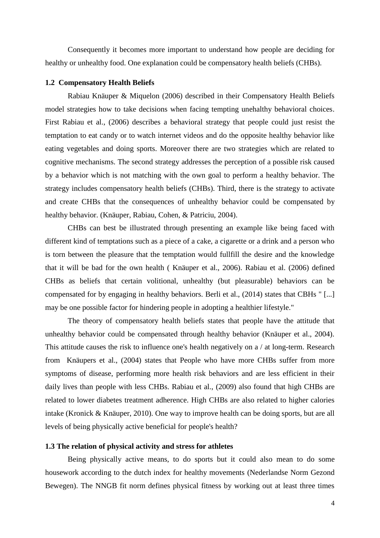Consequently it becomes more important to understand how people are deciding for healthy or unhealthy food. One explanation could be compensatory health beliefs (CHBs).

#### <span id="page-4-0"></span>**1.2 Compensatory Health Beliefs**

Rabiau Knäuper & Miquelon (2006) described in their Compensatory Health Beliefs model strategies how to take decisions when facing tempting unehalthy behavioral choices. First Rabiau et al., (2006) describes a behavioral strategy that people could just resist the temptation to eat candy or to watch internet videos and do the opposite healthy behavior like eating vegetables and doing sports. Moreover there are two strategies which are related to cognitive mechanisms. The second strategy addresses the perception of a possible risk caused by a behavior which is not matching with the own goal to perform a healthy behavior. The strategy includes compensatory health beliefs (CHBs). Third, there is the strategy to activate and create CHBs that the consequences of unhealthy behavior could be compensated by healthy behavior. (Knäuper, Rabiau, Cohen, & Patriciu, 2004).

CHBs can best be illustrated through presenting an example like being faced with different kind of temptations such as a piece of a cake, a cigarette or a drink and a person who is torn between the pleasure that the temptation would fullfill the desire and the knowledge that it will be bad for the own health ( Knäuper et al., 2006). Rabiau et al. (2006) defined CHBs as beliefs that certain volitional, unhealthy (but pleasurable) behaviors can be compensated for by engaging in healthy behaviors. Berli et al., (2014) states that CBHs " [...] may be one possible factor for hindering people in adopting a healthier lifestyle."

The theory of compensatory health beliefs states that people have the attitude that unhealthy behavior could be compensated through healthy behavior (Knäuper et al., 2004). This attitude causes the risk to influence one's health negatively on a / at long-term. Research from Knäupers et al., (2004) states that People who have more CHBs suffer from more symptoms of disease, performing more health risk behaviors and are less efficient in their daily lives than people with less CHBs. Rabiau et al., (2009) also found that high CHBs are related to lower diabetes treatment adherence. High CHBs are also related to higher calories intake (Kronick & Knäuper, 2010). One way to improve health can be doing sports, but are all levels of being physically active beneficial for people's health?

#### <span id="page-4-1"></span>**1.3 The relation of physical activity and stress for athletes**

Being physically active means, to do sports but it could also mean to do some housework according to the dutch index for healthy movements (Nederlandse Norm Gezond Bewegen). The NNGB fit norm defines physical fitness by working out at least three times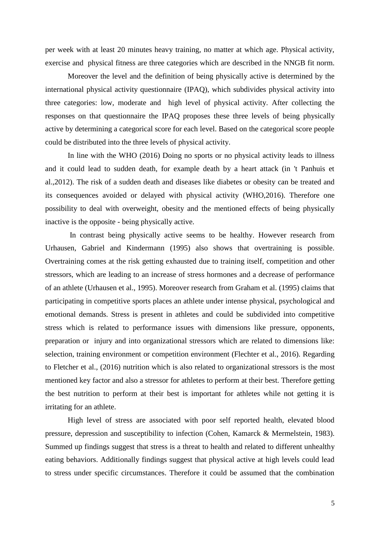per week with at least 20 minutes heavy training, no matter at which age. Physical activity, exercise and physical fitness are three categories which are described in the NNGB fit norm.

Moreover the level and the definition of being physically active is determined by the international physical activity questionnaire (IPAQ), which subdivides physical activity into three categories: low, moderate and high level of physical activity. After collecting the responses on that questionnaire the IPAQ proposes these three levels of being physically active by determining a categorical score for each level. Based on the categorical score people could be distributed into the three levels of physical activity.

In line with the WHO (2016) Doing no sports or no physical activity leads to illness and it could lead to sudden death, for example death by a heart attack (in 't Panhuis et al.,2012). The risk of a sudden death and diseases like diabetes or obesity can be treated and its consequences avoided or delayed with physical activity (WHO,2016). Therefore one possibility to deal with overweight, obesity and the mentioned effects of being physically inactive is the opposite - being physically active.

In contrast being physically active seems to be healthy. However research from Urhausen, Gabriel and Kindermann (1995) also shows that overtraining is possible. Overtraining comes at the risk getting exhausted due to training itself, competition and other stressors, which are leading to an increase of stress hormones and a decrease of performance of an athlete (Urhausen et al., 1995). Moreover research from Graham et al. (1995) claims that participating in competitive sports places an athlete under intense physical, psychological and emotional demands. Stress is present in athletes and could be subdivided into competitive stress which is related to performance issues with dimensions like pressure, opponents, preparation or injury and into organizational stressors which are related to dimensions like: selection, training environment or competition environment (Flechter et al., 2016). Regarding to Fletcher et al., (2016) nutrition which is also related to organizational stressors is the most mentioned key factor and also a stressor for athletes to perform at their best. Therefore getting the best nutrition to perform at their best is important for athletes while not getting it is irritating for an athlete.

High level of stress are associated with poor self reported health, elevated blood pressure, depression and susceptibility to infection (Cohen, Kamarck & Mermelstein, 1983). Summed up findings suggest that stress is a threat to health and related to different unhealthy eating behaviors. Additionally findings suggest that physical active at high levels could lead to stress under specific circumstances. Therefore it could be assumed that the combination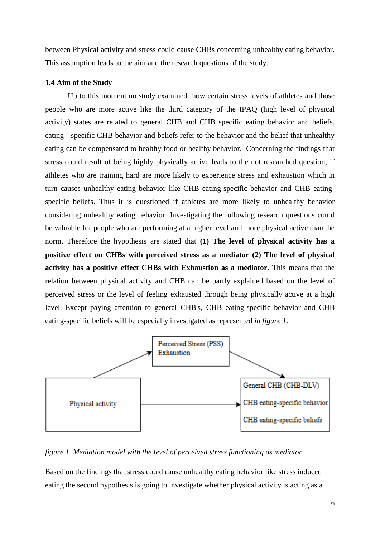between Physical activity and stress could cause CHBs concerning unhealthy eating behavior. This assumption leads to the aim and the research questions of the study.

#### <span id="page-6-0"></span>**1.4 Aim of the Study**

Up to this moment no study examined how certain stress levels of athletes and those people who are more active like the third category of the IPAQ (high level of physical activity) states are related to general CHB and CHB specific eating behavior and beliefs. eating - specific CHB behavior and beliefs refer to the behavior and the belief that unhealthy eating can be compensated to healthy food or healthy behavior. Concerning the findings that stress could result of being highly physically active leads to the not researched question, if athletes who are training hard are more likely to experience stress and exhaustion which in turn causes unhealthy eating behavior like CHB eating-specific behavior and CHB eatingspecific beliefs. Thus it is questioned if athletes are more likely to unhealthy behavior considering unhealthy eating behavior. Investigating the following research questions could be valuable for people who are performing at a higher level and more physical active than the norm. Therefore the hypothesis are stated that **(1) The level of physical activity has a positive effect on CHBs with perceived stress as a mediator (2) The level of physical activity has a positive effect CHBs with Exhaustion as a mediator.** This means that the relation between physical activity and CHB can be partly explained based on the level of perceived stress or the level of feeling exhausted through being physically active at a high level. Except paying attention to general CHB's, CHB eating-specific behavior and CHB eating-specific beliefs will be especially investigated as represented *in figure 1.*



*figure 1. Mediation model with the level of perceived stress functioning as mediator*

Based on the findings that stress could cause unhealthy eating behavior like stress induced eating the second hypothesis is going to investigate whether physical activity is acting as a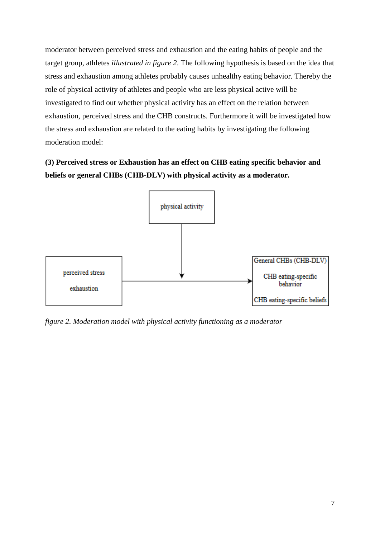moderator between perceived stress and exhaustion and the eating habits of people and the target group, athletes *illustrated in figure 2*. The following hypothesis is based on the idea that stress and exhaustion among athletes probably causes unhealthy eating behavior. Thereby the role of physical activity of athletes and people who are less physical active will be investigated to find out whether physical activity has an effect on the relation between exhaustion, perceived stress and the CHB constructs. Furthermore it will be investigated how the stress and exhaustion are related to the eating habits by investigating the following moderation model:

**(3) Perceived stress or Exhaustion has an effect on CHB eating specific behavior and beliefs or general CHBs (CHB-DLV) with physical activity as a moderator.**



*figure 2. Moderation model with physical activity functioning as a moderator*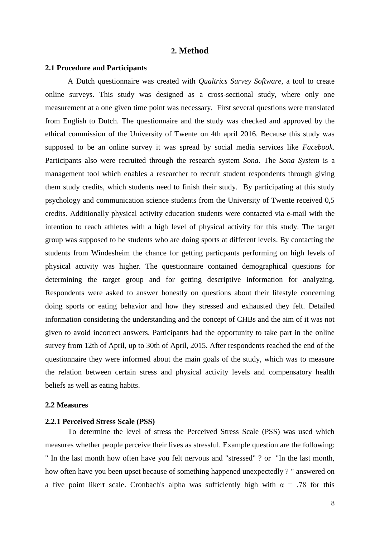#### **2. Method**

#### <span id="page-8-1"></span><span id="page-8-0"></span>**2.1 Procedure and Participants**

A Dutch questionnaire was created with *Qualtrics Survey Software*, a tool to create online surveys. This study was designed as a cross-sectional study, where only one measurement at a one given time point was necessary. First several questions were translated from English to Dutch. The questionnaire and the study was checked and approved by the ethical commission of the University of Twente on 4th april 2016. Because this study was supposed to be an online survey it was spread by social media services like *Facebook*. Participants also were recruited through the research system *Sona.* The *Sona System* is a management tool which enables a researcher to recruit student respondents through giving them study credits, which students need to finish their study. By participating at this study psychology and communication science students from the University of Twente received 0,5 credits. Additionally physical activity education students were contacted via e-mail with the intention to reach athletes with a high level of physical activity for this study. The target group was supposed to be students who are doing sports at different levels. By contacting the students from Windesheim the chance for getting particpants performing on high levels of physical activity was higher. The questionnaire contained demographical questions for determining the target group and for getting descriptive information for analyzing. Respondents were asked to answer honestly on questions about their lifestyle concerning doing sports or eating behavior and how they stressed and exhausted they felt. Detailed information considering the understanding and the concept of CHBs and the aim of it was not given to avoid incorrect answers. Participants had the opportunity to take part in the online survey from 12th of April, up to 30th of April, 2015. After respondents reached the end of the questionnaire they were informed about the main goals of the study, which was to measure the relation between certain stress and physical activity levels and compensatory health beliefs as well as eating habits.

#### <span id="page-8-2"></span>**2.2 Measures**

#### <span id="page-8-3"></span>**2.2.1 Perceived Stress Scale (PSS)**

To determine the level of stress the Perceived Stress Scale (PSS) was used which measures whether people perceive their lives as stressful. Example question are the following: " In the last month how often have you felt nervous and "stressed" ? or "In the last month, how often have you been upset because of something happened unexpectedly ? " answered on a five point likert scale. Cronbach's alpha was sufficiently high with  $\alpha = .78$  for this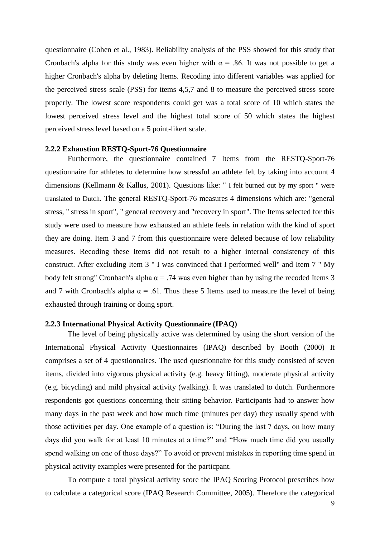questionnaire (Cohen et al., 1983). Reliability analysis of the PSS showed for this study that Cronbach's alpha for this study was even higher with  $\alpha = .86$ . It was not possible to get a higher Cronbach's alpha by deleting Items. Recoding into different variables was applied for the perceived stress scale (PSS) for items 4,5,7 and 8 to measure the perceived stress score properly. The lowest score respondents could get was a total score of 10 which states the lowest perceived stress level and the highest total score of 50 which states the highest perceived stress level based on a 5 point-likert scale.

#### <span id="page-9-0"></span>**2.2.2 Exhaustion RESTQ-Sport-76 Questionnaire**

Furthermore, the questionnaire contained 7 Items from the RESTQ-Sport-76 questionnaire for athletes to determine how stressful an athlete felt by taking into account 4 dimensions (Kellmann & Kallus, 2001). Questions like: " I felt burned out by my sport " were translated to Dutch. The general RESTQ-Sport-76 measures 4 dimensions which are: "general stress, " stress in sport", " general recovery and "recovery in sport". The Items selected for this study were used to measure how exhausted an athlete feels in relation with the kind of sport they are doing. Item 3 and 7 from this questionnaire were deleted because of low reliability measures. Recoding these Items did not result to a higher internal consistency of this construct. After excluding Item 3 " I was convinced that I performed well" and Item 7 " My body felt strong" Cronbach's alpha  $\alpha = .74$  was even higher than by using the recoded Items 3 and 7 with Cronbach's alpha  $\alpha = .61$ . Thus these 5 Items used to measure the level of being exhausted through training or doing sport.

#### <span id="page-9-1"></span>**2.2.3 International Physical Activity Questionnaire (IPAQ)**

The level of being physically active was determined by using the short version of the International Physical Activity Questionnaires (IPAQ) described by Booth (2000) It comprises a set of 4 questionnaires. The used questionnaire for this study consisted of seven items, divided into vigorous physical activity (e.g. heavy lifting), moderate physical activity (e.g. bicycling) and mild physical activity (walking). It was translated to dutch. Furthermore respondents got questions concerning their sitting behavior. Participants had to answer how many days in the past week and how much time (minutes per day) they usually spend with those activities per day. One example of a question is: "During the last 7 days, on how many days did you walk for at least 10 minutes at a time?" and "How much time did you usually spend walking on one of those days?" To avoid or prevent mistakes in reporting time spend in physical activity examples were presented for the particpant.

To compute a total physical activity score the IPAQ Scoring Protocol prescribes how to calculate a categorical score (IPAQ Research Committee, 2005). Therefore the categorical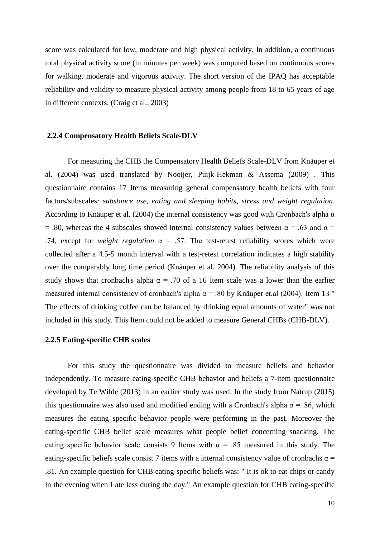score was calculated for low, moderate and high physical activity. In addition, a continuous total physical activity score (in minutes per week) was computed based on continuous scores for walking, moderate and vigorous activity. The short version of the IPAQ has acceptable reliability and validity to measure physical activity among people from 18 to 65 years of age in different contexts. (Craig et al., 2003)

#### <span id="page-10-0"></span>**2.2.4 Compensatory Health Beliefs Scale-DLV**

For measuring the CHB the Compensatory Health Beliefs Scale-DLV from Knäuper et al. (2004) was used translated by Nooijer, Puijk-Hekman & Assema (2009) . This questionnaire contains 17 Items measuring general compensatory health beliefs with four factors/subscales*: substance use, eating and sleeping habits, stress and weight regulation*. According to Knäuper et al. (2004) the internal consistency was good with Cronbach's alpha  $\alpha$ = .80, whereas the 4 subscales showed internal consistency values between  $\alpha$  = .63 and  $\alpha$  = .74, except for *weight regulation*  $\alpha = .57$ . The test-retest reliability scores which were collected after a 4.5-5 month interval with a test-retest correlation indicates a high stability over the comparably long time period (Knäuper et al. 2004). The reliability analysis of this study shows that cronbach's alpha  $\alpha = .70$  of a 16 Item scale was a lower than the earlier measured internal consistency of cronbach's alpha  $\alpha$  = .80 by Knäuper et.al (2004). Item 13 " The effects of drinking coffee can be balanced by drinking equal amounts of water" was not included in this study. This Item could not be added to measure General CHBs (CHB-DLV).

#### <span id="page-10-1"></span>**2.2.5 Eating-specific CHB scales**

For this study the questionnaire was divided to measure beliefs and behavior independently. To measure eating-specific CHB behavior and beliefs a 7-item questionnaire developed by Te Wilde (2013) in an earlier study was used. In the study from Natrup (2015) this questionnaire was also used and modified ending with a Cronbach's alpha  $\alpha$  = .86, which measures the eating specific behavior people were performing in the past. Moreover the eating-specific CHB belief scale measures what people belief concerning snacking. The eating specific behavior scale consists 9 Items with  $\alpha = .85$  measured in this study. The eating-specific beliefs scale consist 7 items with a internal consistency value of cronbachs  $\alpha$  = .81. An example question for CHB eating-specific beliefs was: " It is ok to eat chips or candy in the evening when I ate less during the day." An example question for CHB eating-specific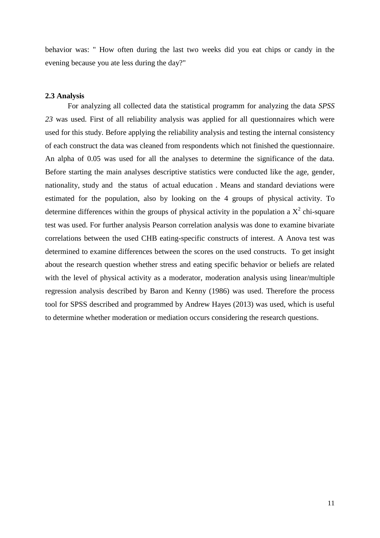behavior was: " How often during the last two weeks did you eat chips or candy in the evening because you ate less during the day?"

#### <span id="page-11-0"></span>**2.3 Analysis**

For analyzing all collected data the statistical programm for analyzing the data *SPSS 23* was used. First of all reliability analysis was applied for all questionnaires which were used for this study. Before applying the reliability analysis and testing the internal consistency of each construct the data was cleaned from respondents which not finished the questionnaire. An alpha of 0.05 was used for all the analyses to determine the significance of the data. Before starting the main analyses descriptive statistics were conducted like the age, gender, nationality, study and the status of actual education . Means and standard deviations were estimated for the population, also by looking on the 4 groups of physical activity. To determine differences within the groups of physical activity in the population a  $X^2$  chi-square test was used. For further analysis Pearson correlation analysis was done to examine bivariate correlations between the used CHB eating-specific constructs of interest. A Anova test was determined to examine differences between the scores on the used constructs. To get insight about the research question whether stress and eating specific behavior or beliefs are related with the level of physical activity as a moderator, moderation analysis using linear/multiple regression analysis described by Baron and Kenny (1986) was used. Therefore the process tool for SPSS described and programmed by Andrew Hayes (2013) was used, which is useful to determine whether moderation or mediation occurs considering the research questions.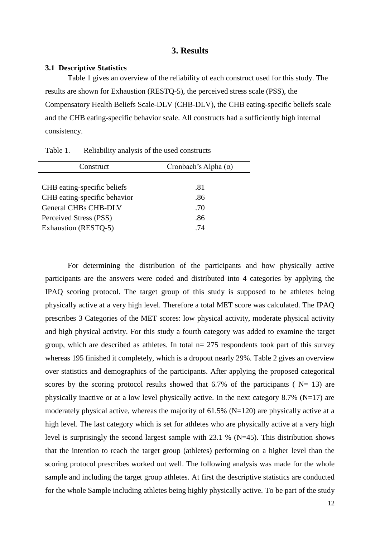#### **3. Results**

#### <span id="page-12-1"></span><span id="page-12-0"></span>**3.1 Descriptive Statistics**

Table 1 gives an overview of the reliability of each construct used for this study. The results are shown for Exhaustion (RESTQ-5), the perceived stress scale (PSS), the Compensatory Health Beliefs Scale-DLV (CHB-DLV), the CHB eating-specific beliefs scale and the CHB eating-specific behavior scale. All constructs had a sufficiently high internal consistency.

| Construct                    | Cronbach's Alpha $(\alpha)$ |
|------------------------------|-----------------------------|
|                              |                             |
| CHB eating-specific beliefs  | .81                         |
| CHB eating-specific behavior | .86                         |
| <b>General CHBs CHB-DLV</b>  | .70                         |
| Perceived Stress (PSS)       | .86                         |
| Exhaustion (RESTQ-5)         | .74                         |
|                              |                             |

Table 1. Reliability analysis of the used constructs

For determining the distribution of the participants and how physically active participants are the answers were coded and distributed into 4 categories by applying the IPAQ scoring protocol. The target group of this study is supposed to be athletes being physically active at a very high level. Therefore a total MET score was calculated. The IPAQ prescribes 3 Categories of the MET scores: low physical activity, moderate physical activity and high physical activity. For this study a fourth category was added to examine the target group, which are described as athletes. In total  $n= 275$  respondents took part of this survey whereas 195 finished it completely, which is a dropout nearly 29%. Table 2 gives an overview over statistics and demographics of the participants. After applying the proposed categorical scores by the scoring protocol results showed that 6.7% of the participants ( $N= 13$ ) are physically inactive or at a low level physically active. In the next category 8.7% ( $N=17$ ) are moderately physical active, whereas the majority of 61.5% (N=120) are physically active at a high level. The last category which is set for athletes who are physically active at a very high level is surprisingly the second largest sample with 23.1 % (N=45). This distribution shows that the intention to reach the target group (athletes) performing on a higher level than the scoring protocol prescribes worked out well. The following analysis was made for the whole sample and including the target group athletes. At first the descriptive statistics are conducted for the whole Sample including athletes being highly physically active. To be part of the study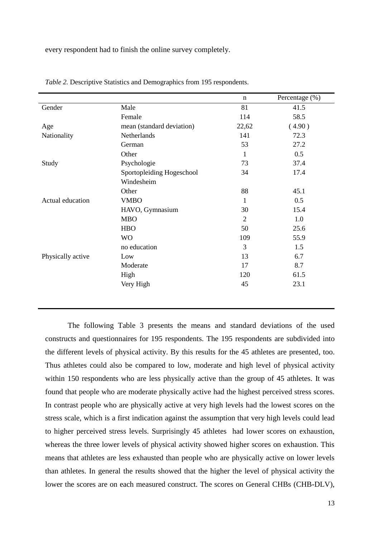every respondent had to finish the online survey completely.

|                   |                           | $\mathbf n$    | Percentage (%) |
|-------------------|---------------------------|----------------|----------------|
| Gender            | Male                      | 81             | 41.5           |
|                   | Female                    | 114            | 58.5           |
| Age               | mean (standard deviation) | 22,62          | (4.90)         |
| Nationality       | Netherlands               | 141            | 72.3           |
|                   | German                    | 53             | 27.2           |
|                   | Other                     | 1              | 0.5            |
| Study             | Psychologie               | 73             | 37.4           |
|                   | Sportopleiding Hogeschool | 34             | 17.4           |
|                   | Windesheim                |                |                |
|                   | Other                     | 88             | 45.1           |
| Actual education  | <b>VMBO</b>               | 1              | 0.5            |
|                   | HAVO, Gymnasium           | 30             | 15.4           |
|                   | <b>MBO</b>                | $\overline{2}$ | 1.0            |
|                   | <b>HBO</b>                | 50             | 25.6           |
|                   | <b>WO</b>                 | 109            | 55.9           |
|                   | no education              | 3              | 1.5            |
| Physically active | Low                       | 13             | 6.7            |
|                   | Moderate                  | 17             | 8.7            |
|                   | High                      | 120            | 61.5           |
|                   | Very High                 | 45             | 23.1           |
|                   |                           |                |                |

*Table 2.* Descriptive Statistics and Demographics from 195 respondents.

The following Table 3 presents the means and standard deviations of the used constructs and questionnaires for 195 respondents. The 195 respondents are subdivided into the different levels of physical activity. By this results for the 45 athletes are presented, too. Thus athletes could also be compared to low, moderate and high level of physical activity within 150 respondents who are less physically active than the group of 45 athletes. It was found that people who are moderate physically active had the highest perceived stress scores. In contrast people who are physically active at very high levels had the lowest scores on the stress scale, which is a first indication against the assumption that very high levels could lead to higher perceived stress levels. Surprisingly 45 athletes had lower scores on exhaustion, whereas the three lower levels of physical activity showed higher scores on exhaustion. This means that athletes are less exhausted than people who are physically active on lower levels than athletes. In general the results showed that the higher the level of physical activity the lower the scores are on each measured construct. The scores on General CHBs (CHB-DLV),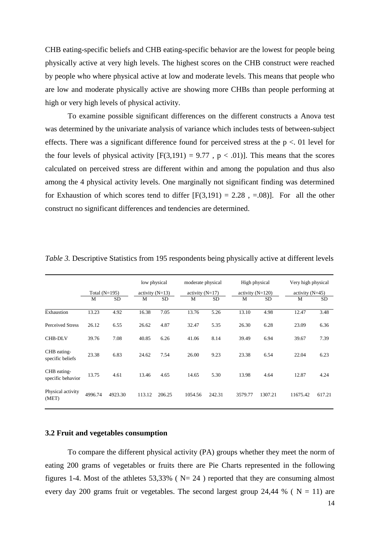CHB eating-specific beliefs and CHB eating-specific behavior are the lowest for people being physically active at very high levels. The highest scores on the CHB construct were reached by people who where physical active at low and moderate levels. This means that people who are low and moderate physically active are showing more CHBs than people performing at high or very high levels of physical activity.

To examine possible significant differences on the different constructs a Anova test was determined by the univariate analysis of variance which includes tests of between-subject effects. There was a significant difference found for perceived stress at the  $p < 01$  level for the four levels of physical activity  $[F(3,191) = 9.77$ ,  $p < .01$ ). This means that the scores calculated on perceived stress are different within and among the population and thus also among the 4 physical activity levels. One marginally not significant finding was determined for Exhaustion of which scores tend to differ  $[F(3,191) = 2.28$ , =.08)]. For all the other construct no significant differences and tendencies are determined.

|                                  |                 |           | low physical      |           | moderate physical |           | High physical |                    | Very high physical |                   |  |
|----------------------------------|-----------------|-----------|-------------------|-----------|-------------------|-----------|---------------|--------------------|--------------------|-------------------|--|
|                                  | Total $(N=195)$ |           | activity $(N=13)$ |           | activity $(N=17)$ |           |               | activity $(N=120)$ |                    | activity $(N=45)$ |  |
|                                  | M               | <b>SD</b> | M                 | <b>SD</b> | M                 | <b>SD</b> | М             | <b>SD</b>          | M                  | <b>SD</b>         |  |
| Exhaustion                       | 13.23           | 4.92      | 16.38             | 7.05      | 13.76             | 5.26      | 13.10         | 4.98               | 12.47              | 3.48              |  |
| <b>Perceived Stress</b>          | 26.12           | 6.55      | 26.62             | 4.87      | 32.47             | 5.35      | 26.30         | 6.28               | 23.09              | 6.36              |  |
| <b>CHB-DLV</b>                   | 39.76           | 7.08      | 40.85             | 6.26      | 41.06             | 8.14      | 39.49         | 6.94               | 39.67              | 7.39              |  |
| CHB eating-<br>specific beliefs  | 23.38           | 6.83      | 24.62             | 7.54      | 26.00             | 9.23      | 23.38         | 6.54               | 22.04              | 6.23              |  |
| CHB eating-<br>specific behavior | 13.75           | 4.61      | 13.46             | 4.65      | 14.65             | 5.30      | 13.98         | 4.64               | 12.87              | 4.24              |  |
| Physical activity<br>(MET)       | 4996.74         | 4923.30   | 113.12            | 206.25    | 1054.56           | 242.31    | 3579.77       | 1307.21            | 11675.42           | 617.21            |  |

*Table 3.* Descriptive Statistics from 195 respondents being physically active at different levels

#### <span id="page-14-0"></span>**3.2 Fruit and vegetables consumption**

To compare the different physical activity (PA) groups whether they meet the norm of eating 200 grams of vegetables or fruits there are Pie Charts represented in the following figures 1-4. Most of the athletes  $53,33\%$  (N= 24) reported that they are consuming almost every day 200 grams fruit or vegetables. The second largest group 24,44 % ( $N = 11$ ) are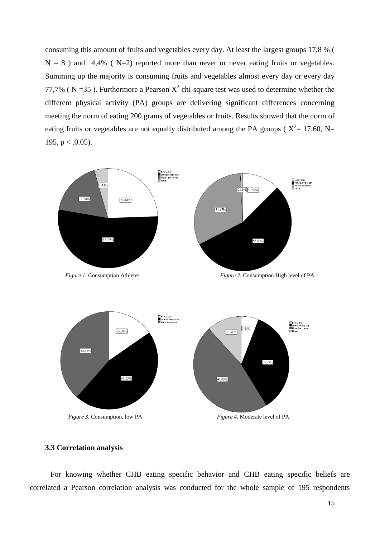consuming this amount of fruits and vegetables every day. At least the largest groups 17,8 % (  $N = 8$ ) and 4,4% ( $N=2$ ) reported more than never or never eating fruits or vegetables. Summing up the majority is consuming fruits and vegetables almost every day or every day 77,7% (N = 35). Furthermore a Pearson  $X^2$  chi-square test was used to determine whether the different physical activity (PA) groups are delivering significant differences concerning meeting the norm of eating 200 grams of vegetables or fruits. Results showed that the norm of eating fruits or vegetables are not equally distributed among the PA groups ( $X^2 = 17.60$ , N= 195,  $p < .0.05$ ).



#### <span id="page-15-0"></span>**3.3 Correlation analysis**

For knowing whether CHB eating specific behavior and CHB eating specific beliefs are correlated a Pearson correlation analysis was conducted for the whole sample of 195 respondents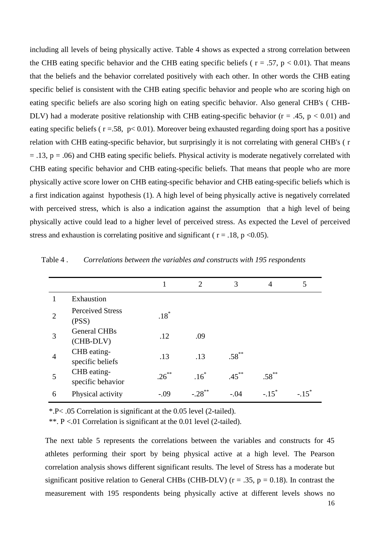including all levels of being physically active. Table 4 shows as expected a strong correlation between the CHB eating specific behavior and the CHB eating specific beliefs ( $r = .57$ ,  $p < 0.01$ ). That means that the beliefs and the behavior correlated positively with each other. In other words the CHB eating specific belief is consistent with the CHB eating specific behavior and people who are scoring high on eating specific beliefs are also scoring high on eating specific behavior. Also general CHB's ( CHB-DLV) had a moderate positive relationship with CHB eating-specific behavior ( $r = .45$ ,  $p < 0.01$ ) and eating specific beliefs ( $r = .58$ ,  $p < 0.01$ ). Moreover being exhausted regarding doing sport has a positive relation with CHB eating-specific behavior, but surprisingly it is not correlating with general CHB's ( r  $= .13$ ,  $p = .06$ ) and CHB eating specific beliefs. Physical activity is moderate negatively correlated with CHB eating specific behavior and CHB eating-specific beliefs. That means that people who are more physically active score lower on CHB eating-specific behavior and CHB eating-specific beliefs which is a first indication against hypothesis (1). A high level of being physically active is negatively correlated with perceived stress, which is also a indication against the assumption that a high level of being physically active could lead to a higher level of perceived stress. As expected the Level of perceived stress and exhaustion is correlating positive and significant ( $r = .18$ ,  $p \le 0.05$ ).

|                |                                  |          | $\mathcal{D}_{\mathcal{L}}$ | 3        | 4        | 5 |
|----------------|----------------------------------|----------|-----------------------------|----------|----------|---|
|                | Exhaustion                       |          |                             |          |          |   |
| $\overline{2}$ | <b>Perceived Stress</b><br>(PSS) | $.18*$   |                             |          |          |   |
| 3              | <b>General CHBs</b><br>(CHB-DLV) | .12      | .09                         |          |          |   |
| 4              | CHB eating-<br>specific beliefs  | .13      | .13                         | $.58***$ |          |   |
| 5              | CHB eating-<br>specific behavior | $.26***$ | .16                         | $.45***$ | $.58***$ |   |
| 6              | Physical activity                | $-.09$   | $-.28$ <sup>**</sup>        | $-.04$   |          |   |

Table 4 . *Correlations between the variables and constructs with 195 respondents*

\*.P< .05 Correlation is significant at the 0.05 level (2-tailed).

\*\*. P <.01 Correlation is significant at the 0.01 level (2-tailed).

The next table 5 represents the correlations between the variables and constructs for 45 athletes performing their sport by being physical active at a high level. The Pearson correlation analysis shows different significant results. The level of Stress has a moderate but significant positive relation to General CHBs (CHB-DLV) ( $r = .35$ ,  $p = 0.18$ ). In contrast the measurement with 195 respondents being physically active at different levels shows no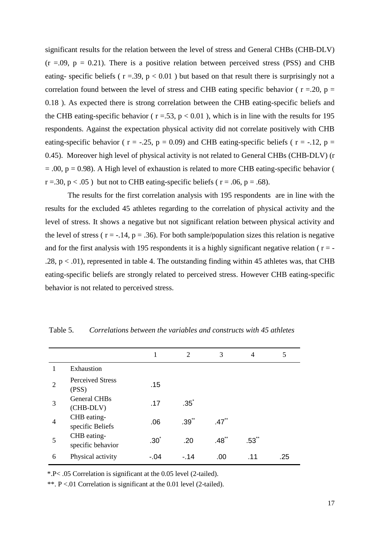significant results for the relation between the level of stress and General CHBs (CHB-DLV)  $(r = .09, p = 0.21)$ . There is a positive relation between perceived stress (PSS) and CHB eating- specific beliefs ( $r = .39$ ,  $p < 0.01$ ) but based on that result there is surprisingly not a correlation found between the level of stress and CHB eating specific behavior ( $r = 20$ ,  $p =$ 0.18 ). As expected there is strong correlation between the CHB eating-specific beliefs and the CHB eating-specific behavior ( $r = .53$ ,  $p < 0.01$ ), which is in line with the results for 195 respondents. Against the expectation physical activity did not correlate positively with CHB eating-specific behavior ( $r = -.25$ ,  $p = 0.09$ ) and CHB eating-specific beliefs ( $r = -.12$ ,  $p =$ 0.45). Moreover high level of physical activity is not related to General CHBs (CHB-DLV) (r  $= .00$ ,  $p = 0.98$ ). A High level of exhaustion is related to more CHB eating-specific behavior (  $r = .30$ ,  $p < .05$ ) but not to CHB eating-specific beliefs ( $r = .06$ ,  $p = .68$ ).

The results for the first correlation analysis with 195 respondents are in line with the results for the excluded 45 athletes regarding to the correlation of physical activity and the level of stress. It shows a negative but not significant relation between physical activity and the level of stress ( $r = -.14$ ,  $p = .36$ ). For both sample/population sizes this relation is negative and for the first analysis with 195 respondents it is a highly significant negative relation ( $r = -$ .28,  $p < .01$ ), represented in table 4. The outstanding finding within 45 athletes was, that CHB eating-specific beliefs are strongly related to perceived stress. However CHB eating-specific behavior is not related to perceived stress.

|                |                                  |                  | $\mathfrak{D}$ | 3                   | 4                   | 5   |
|----------------|----------------------------------|------------------|----------------|---------------------|---------------------|-----|
|                | Exhaustion                       |                  |                |                     |                     |     |
| $\overline{2}$ | <b>Perceived Stress</b><br>(PSS) | .15              |                |                     |                     |     |
| 3              | <b>General CHBs</b><br>(CHB-DLV) | .17              | $.35*$         |                     |                     |     |
| $\overline{4}$ | CHB eating-<br>specific Beliefs  | .06              | $.39^{**}$     | $.47$ <sup>**</sup> |                     |     |
| 5              | CHB eating-<br>specific behavior | .30 <sup>°</sup> | .20            | $.48***$            | $.53$ <sup>**</sup> |     |
| 6              | Physical activity                | -.04             | - 14           | .00                 | .11                 | .25 |

Table 5. *Correlations between the variables and constructs with 45 athletes*

\*.P< .05 Correlation is significant at the 0.05 level (2-tailed).

\*\*. P <.01 Correlation is significant at the 0.01 level (2-tailed).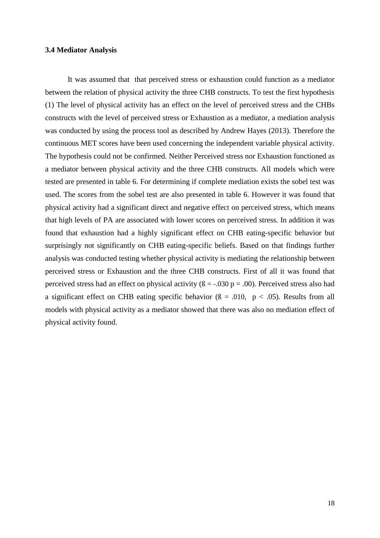#### <span id="page-18-0"></span>**3.4 Mediator Analysis**

It was assumed that that perceived stress or exhaustion could function as a mediator between the relation of physical activity the three CHB constructs. To test the first hypothesis (1) The level of physical activity has an effect on the level of perceived stress and the CHBs constructs with the level of perceived stress or Exhaustion as a mediator, a mediation analysis was conducted by using the process tool as described by Andrew Hayes (2013). Therefore the continuous MET scores have been used concerning the independent variable physical activity. The hypothesis could not be confirmed. Neither Perceived stress nor Exhaustion functioned as a mediator between physical activity and the three CHB constructs. All models which were tested are presented in table 6. For determining if complete mediation exists the sobel test was used. The scores from the sobel test are also presented in table 6. However it was found that physical activity had a significant direct and negative effect on perceived stress, which means that high levels of PA are associated with lower scores on perceived stress. In addition it was found that exhaustion had a highly significant effect on CHB eating-specific behavior but surprisingly not significantly on CHB eating-specific beliefs. Based on that findings further analysis was conducted testing whether physical activity is mediating the relationship between perceived stress or Exhaustion and the three CHB constructs. First of all it was found that perceived stress had an effect on physical activity ( $\beta = -0.030$  p = .00). Perceived stress also had a significant effect on CHB eating specific behavior ( $\beta = .010$ ,  $p < .05$ ). Results from all models with physical activity as a mediator showed that there was also no mediation effect of physical activity found.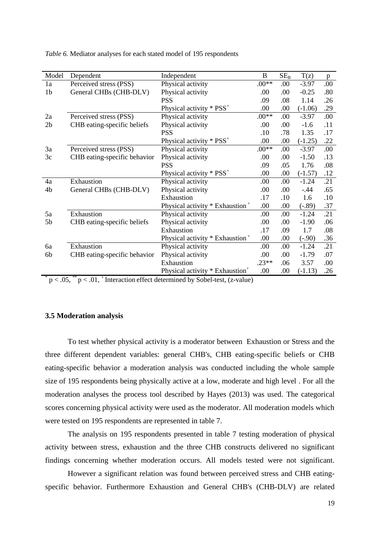| Model                                                                                              | Dependent                    | Independent                                   | B       | $SE_{B}$ | T(z)      | p   |
|----------------------------------------------------------------------------------------------------|------------------------------|-----------------------------------------------|---------|----------|-----------|-----|
| 1a                                                                                                 | Perceived stress (PSS)       | Physical activity                             | $.00**$ | .00.     | $-3.97$   | .00 |
| 1 <sub>b</sub>                                                                                     | General CHBs (CHB-DLV)       | Physical activity                             | .00     | .00      | $-0.25$   | .80 |
|                                                                                                    |                              | <b>PSS</b>                                    | .09     | .08      | 1.14      | .26 |
|                                                                                                    |                              | Physical activity * PSS <sup>+</sup>          | .00.    | .00      | $(-1.06)$ | .29 |
| 2a                                                                                                 | Perceived stress (PSS)       | Physical activity                             | $.00**$ | .00      | $-3.97$   | .00 |
| 2 <sub>b</sub>                                                                                     | CHB eating-specific beliefs  | Physical activity                             | .00.    | .00.     | $-1.6$    | .11 |
|                                                                                                    |                              | <b>PSS</b>                                    | .10     | .78      | 1.35      | .17 |
|                                                                                                    |                              | Physical activity $*$ PSS <sup>+</sup>        | .00     | .00      | $(-1.25)$ | .22 |
| 3a                                                                                                 | Perceived stress (PSS)       | Physical activity                             | $.00**$ | .00      | $-3.97$   | .00 |
| 3c                                                                                                 | CHB eating-specific behavior | Physical activity                             | .00     | .00      | $-1.50$   | .13 |
|                                                                                                    |                              | <b>PSS</b>                                    | .09     | .05      | 1.76      | .08 |
|                                                                                                    |                              | Physical activity $*$ PSS <sup>+</sup>        | .00     | .00      | $(-1.57)$ | .12 |
| 4a                                                                                                 | Exhaustion                   | Physical activity                             | .00     | .00      | $-1.24$   | .21 |
| 4b                                                                                                 | General CHBs (CHB-DLV)       | Physical activity                             | .00     | .00      | $-.44$    | .65 |
|                                                                                                    |                              | Exhaustion                                    | .17     | .10      | 1.6       | .10 |
|                                                                                                    |                              | Physical activity * Exhaustion +              | .00     | .00.     | $(-.89)$  | .37 |
| 5a                                                                                                 | Exhaustion                   | Physical activity                             | .00.    | .00.     | $-1.24$   | .21 |
| 5b                                                                                                 | CHB eating-specific beliefs  | Physical activity                             | .00     | .00.     | $-1.90$   | .06 |
|                                                                                                    |                              | Exhaustion                                    | .17     | .09      | 1.7       | .08 |
|                                                                                                    |                              | Physical activity * Exhaustion +              | .00     | .00      | $(-.90)$  | .36 |
| 6a                                                                                                 | Exhaustion                   | Physical activity                             | .00     | .00      | $-1.24$   | .21 |
| 6b                                                                                                 | CHB eating-specific behavior | Physical activity                             | .00     | .00      | $-1.79$   | .07 |
|                                                                                                    |                              | Exhaustion                                    | $.23**$ | .06      | 3.57      | .00 |
|                                                                                                    |                              | Physical activity $*$ Exhaustion <sup>+</sup> | .00     | .00      | $(-1.13)$ | .26 |
| **<br>$n \times 01$ <sup>+</sup> Intersection offect determined by Sobol text (x you)<br>$\sim 05$ |                              |                                               |         |          |           |     |

*Table 6.* Mediator analyses for each stated model of 195 respondents

 $p < .05$ , \*\*  $p < .01$ , + Interaction effect determined by Sobel-test, (z-value)

#### <span id="page-19-0"></span>**3.5 Moderation analysis**

To test whether physical activity is a moderator between Exhaustion or Stress and the three different dependent variables: general CHB's, CHB eating-specific beliefs or CHB eating-specific behavior a moderation analysis was conducted including the whole sample size of 195 respondents being physically active at a low, moderate and high level . For all the moderation analyses the process tool described by Hayes (2013) was used. The categorical scores concerning physical activity were used as the moderator. All moderation models which were tested on 195 respondents are represented in table 7.

The analysis on 195 respondents presented in table 7 testing moderation of physical activity between stress, exhaustion and the three CHB constructs delivered no significant findings concerning whether moderation occurs. All models tested were not significant.

However a significant relation was found between perceived stress and CHB eatingspecific behavior. Furthermore Exhaustion and General CHB's (CHB-DLV) are related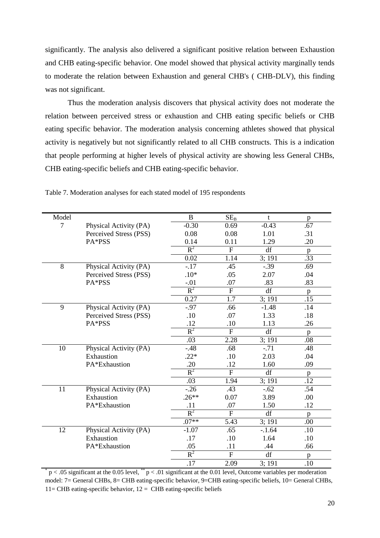significantly. The analysis also delivered a significant positive relation between Exhaustion and CHB eating-specific behavior. One model showed that physical activity marginally tends to moderate the relation between Exhaustion and general CHB's ( CHB-DLV), this finding was not significant.

Thus the moderation analysis discovers that physical activity does not moderate the relation between perceived stress or exhaustion and CHB eating specific beliefs or CHB eating specific behavior. The moderation analysis concerning athletes showed that physical activity is negatively but not significantly related to all CHB constructs. This is a indication that people performing at higher levels of physical activity are showing less General CHBs, CHB eating-specific beliefs and CHB eating-specific behavior.

| Model          |                        | $\bf{B}$ | SE <sub>B</sub> | t       | p   |
|----------------|------------------------|----------|-----------------|---------|-----|
| $\overline{7}$ | Physical Activity (PA) | $-0.30$  | 0.69            | $-0.43$ | .67 |
|                | Perceived Stress (PSS) | 0.08     | 0.08            | 1.01    | .31 |
|                | PA*PSS                 | 0.14     | 0.11            | 1.29    | .20 |
|                |                        | $R^2$    | $\overline{F}$  | df      | p   |
|                |                        | 0.02     | 1.14            | 3;191   | .33 |
| 8              | Physical Activity (PA) | $-17$    | .45             | $-.39$  | .69 |
|                | Perceived Stress (PSS) | $.10*$   | .05             | 2.07    | .04 |
|                | PA*PSS                 | $-.01$   | .07             | .83     | .83 |
|                |                        | $R^2$    | $\mathbf{F}$    | df      | p   |
|                |                        | 0.27     | 1.7             | 3; 191  | .15 |
| 9              | Physical Activity (PA) | $-.97$   | .66             | $-1.48$ | .14 |
|                | Perceived Stress (PSS) | .10      | .07             | 1.33    | .18 |
|                | PA*PSS                 | .12      | .10             | 1.13    | .26 |
|                |                        | $R^2$    | $\mathbf{F}$    | df      | p   |
|                |                        | .03      | 2.28            | 3;191   | .08 |
| 10             | Physical Activity (PA) | $-.48$   | .68             | $-71$   | .48 |
|                | Exhaustion             | $.22*$   | .10             | 2.03    | .04 |
|                | PA*Exhaustion          | .20      | .12             | 1.60    | .09 |
|                |                        | $R^2$    | $\mathbf F$     | df      | p   |
|                |                        | .03      | 1.94            | 3;191   | .12 |
| 11             | Physical Activity (PA) | $-0.26$  | .43             | $-.62$  | .54 |
|                | Exhaustion             | $.26**$  | 0.07            | 3.89    | .00 |
|                | PA*Exhaustion          | .11      | .07             | 1.50    | .12 |
|                |                        | $R^2$    | $\overline{F}$  | df      | p   |
|                |                        | $.07**$  | 5.43            | 3;191   | .00 |
| 12             | Physical Activity (PA) | $-1.07$  | .65             | $-1.64$ | .10 |
|                | Exhaustion             | .17      | .10             | 1.64    | .10 |
|                | PA*Exhaustion          | .05      | .11             | .44     | .66 |
|                |                        | $R^2$    | $\mathbf{F}$    | df      | p   |
|                |                        | .17      | 2.09            | 3:191   | .10 |

Table 7. Moderation analyses for each stated model of 195 respondents

\*  $p < .05$  significant at the 0.05 level, \*\*  $p < .01$  significant at the 0.01 level, Outcome variables per moderation model: 7= General CHBs, 8= CHB eating-specific behavior, 9=CHB eating-specific beliefs, 10= General CHBs, 11= CHB eating-specific behavior,  $12 =$  CHB eating-specific beliefs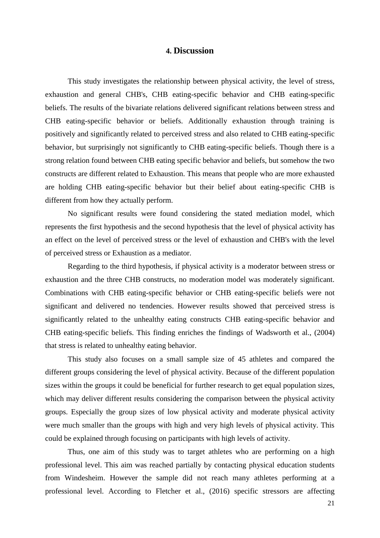## **4. Discussion**

<span id="page-21-0"></span>This study investigates the relationship between physical activity, the level of stress, exhaustion and general CHB's, CHB eating-specific behavior and CHB eating-specific beliefs. The results of the bivariate relations delivered significant relations between stress and CHB eating-specific behavior or beliefs. Additionally exhaustion through training is positively and significantly related to perceived stress and also related to CHB eating-specific behavior, but surprisingly not significantly to CHB eating-specific beliefs. Though there is a strong relation found between CHB eating specific behavior and beliefs, but somehow the two constructs are different related to Exhaustion. This means that people who are more exhausted are holding CHB eating-specific behavior but their belief about eating-specific CHB is different from how they actually perform.

No significant results were found considering the stated mediation model, which represents the first hypothesis and the second hypothesis that the level of physical activity has an effect on the level of perceived stress or the level of exhaustion and CHB's with the level of perceived stress or Exhaustion as a mediator.

Regarding to the third hypothesis, if physical activity is a moderator between stress or exhaustion and the three CHB constructs, no moderation model was moderately significant. Combinations with CHB eating-specific behavior or CHB eating-specific beliefs were not significant and delivered no tendencies. However results showed that perceived stress is significantly related to the unhealthy eating constructs CHB eating-specific behavior and CHB eating-specific beliefs. This finding enriches the findings of Wadsworth et al., (2004) that stress is related to unhealthy eating behavior.

This study also focuses on a small sample size of 45 athletes and compared the different groups considering the level of physical activity. Because of the different population sizes within the groups it could be beneficial for further research to get equal population sizes, which may deliver different results considering the comparison between the physical activity groups. Especially the group sizes of low physical activity and moderate physical activity were much smaller than the groups with high and very high levels of physical activity. This could be explained through focusing on participants with high levels of activity.

Thus, one aim of this study was to target athletes who are performing on a high professional level. This aim was reached partially by contacting physical education students from Windesheim. However the sample did not reach many athletes performing at a professional level. According to Fletcher et al., (2016) specific stressors are affecting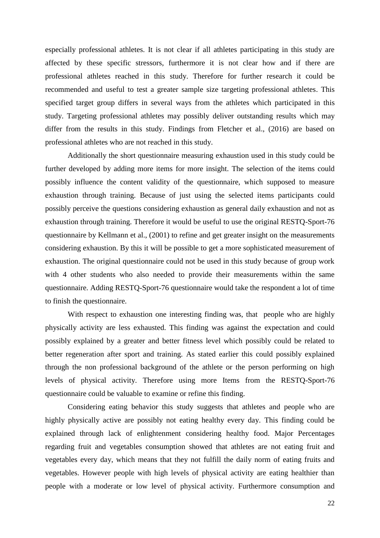especially professional athletes. It is not clear if all athletes participating in this study are affected by these specific stressors, furthermore it is not clear how and if there are professional athletes reached in this study. Therefore for further research it could be recommended and useful to test a greater sample size targeting professional athletes. This specified target group differs in several ways from the athletes which participated in this study. Targeting professional athletes may possibly deliver outstanding results which may differ from the results in this study. Findings from Fletcher et al., (2016) are based on professional athletes who are not reached in this study.

Additionally the short questionnaire measuring exhaustion used in this study could be further developed by adding more items for more insight. The selection of the items could possibly influence the content validity of the questionnaire, which supposed to measure exhaustion through training. Because of just using the selected items participants could possibly perceive the questions considering exhaustion as general daily exhaustion and not as exhaustion through training. Therefore it would be useful to use the original RESTQ-Sport-76 questionnaire by Kellmann et al., (2001) to refine and get greater insight on the measurements considering exhaustion. By this it will be possible to get a more sophisticated measurement of exhaustion. The original questionnaire could not be used in this study because of group work with 4 other students who also needed to provide their measurements within the same questionnaire. Adding RESTQ-Sport-76 questionnaire would take the respondent a lot of time to finish the questionnaire.

With respect to exhaustion one interesting finding was, that people who are highly physically activity are less exhausted. This finding was against the expectation and could possibly explained by a greater and better fitness level which possibly could be related to better regeneration after sport and training. As stated earlier this could possibly explained through the non professional background of the athlete or the person performing on high levels of physical activity. Therefore using more Items from the RESTQ-Sport-76 questionnaire could be valuable to examine or refine this finding.

Considering eating behavior this study suggests that athletes and people who are highly physically active are possibly not eating healthy every day. This finding could be explained through lack of enlightenment considering healthy food. Major Percentages regarding fruit and vegetables consumption showed that athletes are not eating fruit and vegetables every day, which means that they not fulfill the daily norm of eating fruits and vegetables. However people with high levels of physical activity are eating healthier than people with a moderate or low level of physical activity. Furthermore consumption and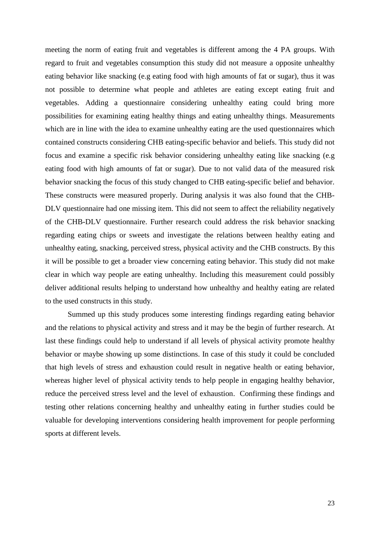meeting the norm of eating fruit and vegetables is different among the 4 PA groups. With regard to fruit and vegetables consumption this study did not measure a opposite unhealthy eating behavior like snacking (e.g eating food with high amounts of fat or sugar), thus it was not possible to determine what people and athletes are eating except eating fruit and vegetables. Adding a questionnaire considering unhealthy eating could bring more possibilities for examining eating healthy things and eating unhealthy things. Measurements which are in line with the idea to examine unhealthy eating are the used questionnaires which contained constructs considering CHB eating-specific behavior and beliefs. This study did not focus and examine a specific risk behavior considering unhealthy eating like snacking (e.g eating food with high amounts of fat or sugar). Due to not valid data of the measured risk behavior snacking the focus of this study changed to CHB eating-specific belief and behavior. These constructs were measured properly. During analysis it was also found that the CHB-DLV questionnaire had one missing item. This did not seem to affect the reliability negatively of the CHB-DLV questionnaire. Further research could address the risk behavior snacking regarding eating chips or sweets and investigate the relations between healthy eating and unhealthy eating, snacking, perceived stress, physical activity and the CHB constructs. By this it will be possible to get a broader view concerning eating behavior. This study did not make clear in which way people are eating unhealthy. Including this measurement could possibly deliver additional results helping to understand how unhealthy and healthy eating are related to the used constructs in this study.

Summed up this study produces some interesting findings regarding eating behavior and the relations to physical activity and stress and it may be the begin of further research. At last these findings could help to understand if all levels of physical activity promote healthy behavior or maybe showing up some distinctions. In case of this study it could be concluded that high levels of stress and exhaustion could result in negative health or eating behavior, whereas higher level of physical activity tends to help people in engaging healthy behavior, reduce the perceived stress level and the level of exhaustion. Confirming these findings and testing other relations concerning healthy and unhealthy eating in further studies could be valuable for developing interventions considering health improvement for people performing sports at different levels.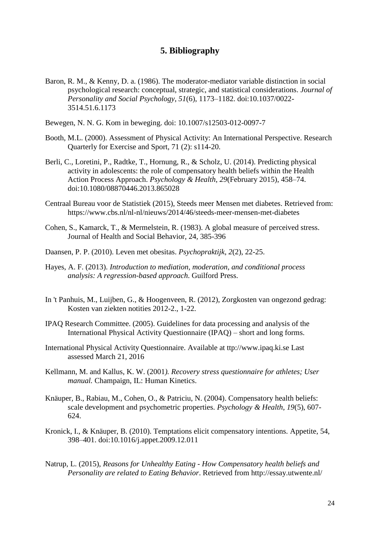# **5. Bibliography**

- <span id="page-24-0"></span>Baron, R. M., & Kenny, D. a. (1986). The moderator-mediator variable distinction in social psychological research: conceptual, strategic, and statistical considerations. *Journal of Personality and Social Psychology*, *51*(6), 1173–1182. doi:10.1037/0022- 3514.51.6.1173
- Bewegen, N. N. G. Kom in beweging. doi: 10.1007/s12503-012-0097-7
- Booth, M.L. (2000). Assessment of Physical Activity: An International Perspective. Research Quarterly for Exercise and Sport, 71 (2): s114-20.
- Berli, C., Loretini, P., Radtke, T., Hornung, R., & Scholz, U. (2014). Predicting physical activity in adolescents: the role of compensatory health beliefs within the Health Action Process Approach. *Psychology & Health*, *29*(February 2015), 458–74. doi:10.1080/08870446.2013.865028
- Centraal Bureau voor de Statistiek (2015), Steeds meer Mensen met diabetes. Retrieved from: https://www.cbs.nl/nl-nl/nieuws/2014/46/steeds-meer-mensen-met-diabetes
- Cohen, S., Kamarck, T., & Mermelstein, R. (1983). A global measure of perceived stress. Journal of Health and Social Behavior, 24, 385-396
- Daansen, P. P. (2010). Leven met obesitas. *Psychopraktijk*, *2*(2), 22-25.
- Hayes, A. F. (2013). *Introduction to mediation, moderation, and conditional process analysis: A regression-based approach*. Guilford Press.
- In 't Panhuis, M., Luijben, G., & Hoogenveen, R. (2012), Zorgkosten van ongezond gedrag: Kosten van ziekten notities 2012-2., 1-22.
- IPAQ Research Committee. (2005). Guidelines for data processing and analysis of the International Physical Activity Questionnaire (IPAQ) – short and long forms.
- International Physical Activity Questionnaire. Available at ttp://www.ipaq.ki.se Last assessed March 21, 2016
- Kellmann, M. and Kallus, K. W. (2001*). Recovery stress questionnaire for athletes; User manual.* Champaign, IL: Human Kinetics.
- Knäuper, B., Rabiau, M., Cohen, O., & Patriciu, N. (2004). Compensatory health beliefs: scale development and psychometric properties. *Psychology & Health*, *19*(5), 607- 624.
- Kronick, I., & Knäuper, B. (2010). Temptations elicit compensatory intentions. Appetite, 54, 398–401. doi:10.1016/j.appet.2009.12.011
- Natrup, L. (2015), *Reasons for Unhealthy Eating - How Compensatory health beliefs and Personality are related to Eating Behavior*. Retrieved from http://essay.utwente.nl/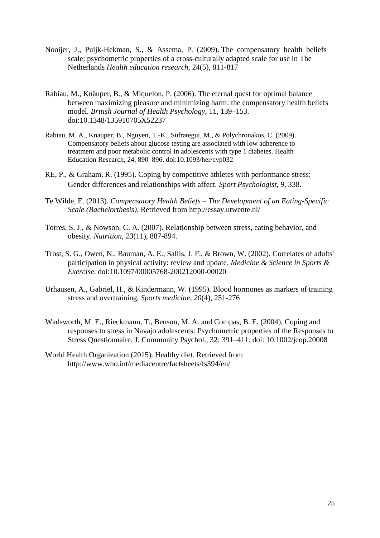- Nooijer, J., Puijk-Hekman, S., & Assema, P. (2009). The compensatory health beliefs scale: psychometric properties of a cross-culturally adapted scale for use in The Netherlands *Health education research*, 24(5), 811-817
- Rabiau, M., Knäuper, B., & Miquelon, P. (2006). The eternal quest for optimal balance between maximizing pleasure and minimizing harm: the compensatory health beliefs model. *British Journal of Health Psychology*, 11, 139–153. doi:10.1348/135910705X52237
- Rabiau, M. A., Knauper, B., Nguyen, T.-K., Sufrategui, M., & Polychronakos, C. (2009). Compensatory beliefs about glucose testing are associated with low adherence to treatment and poor metabolic control in adolescents with type 1 diabetes. Health Education Research, 24, 890–896. doi:10.1093/her/cyp032
- RE, P., & Graham, R. (1995). Coping by competitive athletes with performance stress: Gender differences and relationships with affect. *Sport Psychologist*, *9*, 338.
- Te Wilde, E. (2013). *Compensatory Health Beliefs – The Development of an Eating-Specific Scale (Bachelorthesis)*. Retrieved from http://essay.utwente.nl/
- Torres, S. J., & Nowson, C. A. (2007). Relationship between stress, eating behavior, and obesity. *Nutrition*, *23*(11), 887-894.
- Trost, S. G., Owen, N., Bauman, A. E., Sallis, J. F., & Brown, W. (2002). Correlates of adults' participation in physical activity: review and update. *Medicine & Science in Sports & Exercise*. doi:10.1097/00005768-200212000-00020
- Urhausen, A., Gabriel, H., & Kindermann, W. (1995). Blood hormones as markers of training stress and overtraining. *Sports medicine*, *20*(4), 251-276
- Wadsworth, M. E., Rieckmann, T., Benson, M. A. and Compas, B. E. (2004), Coping and responses to stress in Navajo adolescents: Psychometric properties of the Responses to Stress Questionnaire. J. Community Psychol., 32: 391–411. doi: 10.1002/jcop.20008
- World Health Organization (2015). Healthy diet. Retrieved from http://www.who.int/mediacentre/factsheets/fs394/en/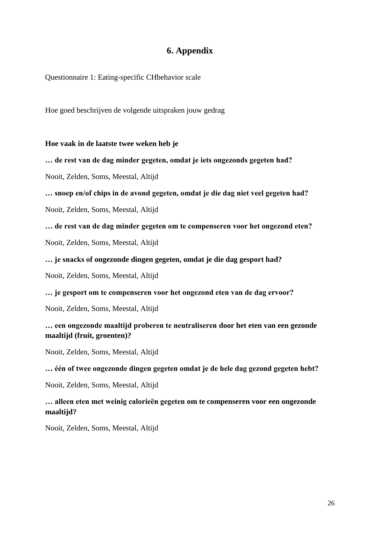# **6. Appendix**

<span id="page-26-0"></span>Questionnaire 1: Eating-specific CHbehavior scale

Hoe goed beschrijven de volgende uitspraken jouw gedrag

**Hoe vaak in de laatste twee weken heb je**

**… de rest van de dag minder gegeten, omdat je iets ongezonds gegeten had?**

Nooit, Zelden, Soms, Meestal, Altijd

**… snoep en/of chips in de avond gegeten, omdat je die dag niet veel gegeten had?**

Nooit, Zelden, Soms, Meestal, Altijd

**… de rest van de dag minder gegeten om te compenseren voor het ongezond eten?**

Nooit, Zelden, Soms, Meestal, Altijd

**… je snacks of ongezonde dingen gegeten, omdat je die dag gesport had?**

Nooit, Zelden, Soms, Meestal, Altijd

**… je gesport om te compenseren voor het ongezond eten van de dag ervoor?**

Nooit, Zelden, Soms, Meestal, Altijd

**… een ongezonde maaltijd proberen te neutraliseren door het eten van een gezonde maaltijd (fruit, groenten)?**

Nooit, Zelden, Soms, Meestal, Altijd

#### **… één of twee ongezonde dingen gegeten omdat je de hele dag gezond gegeten hebt?**

Nooit, Zelden, Soms, Meestal, Altijd

**… alleen eten met weinig calorieën gegeten om te compenseren voor een ongezonde maaltijd?**

Nooit, Zelden, Soms, Meestal, Altijd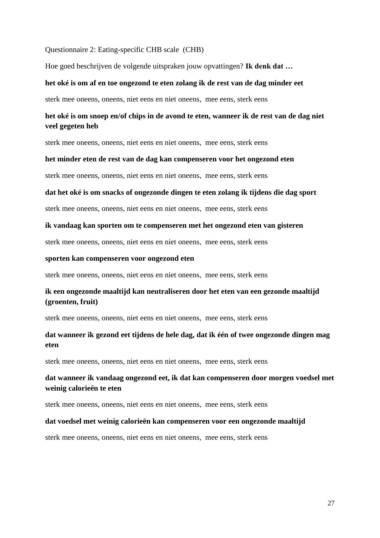#### Questionnaire 2: Eating-specific CHB scale (CHB)

Hoe goed beschrijven de volgende uitspraken jouw opvattingen? **Ik denk dat …**

#### **het oké is om af en toe ongezond te eten zolang ik de rest van de dag minder eet**

sterk mee oneens, oneens, niet eens en niet oneens, mee eens, sterk eens

# **het oké is om snoep en/of chips in de avond te eten, wanneer ik de rest van de dag niet veel gegeten heb**

sterk mee oneens, oneens, niet eens en niet oneens, mee eens, sterk eens

#### **het minder eten de rest van de dag kan compenseren voor het ongezond eten**

sterk mee oneens, oneens, niet eens en niet oneens, mee eens, sterk eens

#### **dat het oké is om snacks of ongezonde dingen te eten zolang ik tijdens die dag sport**

sterk mee oneens, oneens, niet eens en niet oneens, mee eens, sterk eens

#### **ik vandaag kan sporten om te compenseren met het ongezond eten van gisteren**

sterk mee oneens, oneens, niet eens en niet oneens, mee eens, sterk eens

#### **sporten kan compenseren voor ongezond eten**

sterk mee oneens, oneens, niet eens en niet oneens, mee eens, sterk eens

## **ik een ongezonde maaltijd kan neutraliseren door het eten van een gezonde maaltijd (groenten, fruit)**

sterk mee oneens, oneens, niet eens en niet oneens, mee eens, sterk eens

# **dat wanneer ik gezond eet tijdens de hele dag, dat ik één of twee ongezonde dingen mag eten**

sterk mee oneens, oneens, niet eens en niet oneens, mee eens, sterk eens

## **dat wanneer ik vandaag ongezond eet, ik dat kan compenseren door morgen voedsel met weinig calorieën te eten**

sterk mee oneens, oneens, niet eens en niet oneens, mee eens, sterk eens

#### **dat voedsel met weinig calorieën kan compenseren voor een ongezonde maaltijd**

sterk mee oneens, oneens, niet eens en niet oneens, mee eens, sterk eens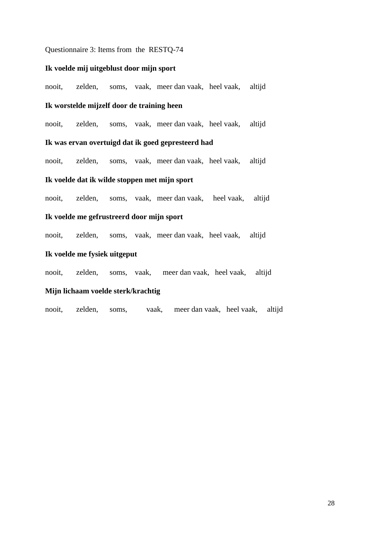#### Questionnaire 3: Items from the RESTQ-74

#### **Ik voelde mij uitgeblust door mijn sport**

nooit, zelden, soms, vaak, meer dan vaak, heel vaak, altijd

#### **Ik worstelde mijzelf door de training heen**

nooit, zelden, soms, vaak, meer dan vaak, heel vaak, altijd

#### **Ik was ervan overtuigd dat ik goed gepresteerd had**

nooit, zelden, soms, vaak, meer dan vaak, heel vaak, altijd

#### **Ik voelde dat ik wilde stoppen met mijn sport**

nooit, zelden, soms, vaak, meer dan vaak, heel vaak, altijd

#### **Ik voelde me gefrustreerd door mijn sport**

nooit, zelden, soms, vaak, meer dan vaak, heel vaak, altijd

#### **Ik voelde me fysiek uitgeput**

nooit, zelden, soms, vaak, meer dan vaak, heel vaak, altijd

#### **Mijn lichaam voelde sterk/krachtig**

nooit, zelden, soms, vaak, meer dan vaak, heel vaak, altijd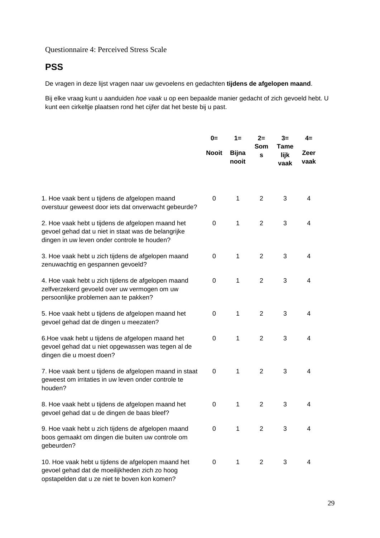# Questionnaire 4: Perceived Stress Scale

# **PSS**

De vragen in deze lijst vragen naar uw gevoelens en gedachten **tijdens de afgelopen maand**.

Bij elke vraag kunt u aanduiden *hoe vaak* u op een bepaalde manier gedacht of zich gevoeld hebt. U kunt een cirkeltje plaatsen rond het cijfer dat het beste bij u past.

|                                                                                                                                                          | $0=$         | $1 =$                 | $2=$           |                             | $4=$         |
|----------------------------------------------------------------------------------------------------------------------------------------------------------|--------------|-----------------------|----------------|-----------------------------|--------------|
|                                                                                                                                                          | <b>Nooit</b> | <b>Bijna</b><br>nooit | Som<br>S       | <b>Tame</b><br>lijk<br>vaak | Zeer<br>vaak |
|                                                                                                                                                          |              |                       |                |                             |              |
| 1. Hoe vaak bent u tijdens de afgelopen maand<br>overstuur geweest door iets dat onverwacht gebeurde?                                                    | 0            | $\mathbf{1}$          | 2              | 3                           | 4            |
| 2. Hoe vaak hebt u tijdens de afgelopen maand het<br>gevoel gehad dat u niet in staat was de belangrijke<br>dingen in uw leven onder controle te houden? | 0            | 1                     | $\overline{2}$ | 3                           | 4            |
| 3. Hoe vaak hebt u zich tijdens de afgelopen maand<br>zenuwachtig en gespannen gevoeld?                                                                  | 0            | $\mathbf{1}$          | $\overline{2}$ | 3                           | 4            |
| 4. Hoe vaak hebt u zich tijdens de afgelopen maand<br>zelfverzekerd gevoeld over uw vermogen om uw<br>persoonlijke problemen aan te pakken?              | 0            | $\mathbf{1}$          | $\overline{2}$ | 3                           | 4            |
| 5. Hoe vaak hebt u tijdens de afgelopen maand het<br>gevoel gehad dat de dingen u meezaten?                                                              | 0            | $\mathbf{1}$          | 2              | 3                           | 4            |
| 6. Hoe vaak hebt u tijdens de afgelopen maand het<br>gevoel gehad dat u niet opgewassen was tegen al de<br>dingen die u moest doen?                      | 0            | $\mathbf{1}$          | $\overline{2}$ | 3                           | 4            |
| 7. Hoe vaak bent u tijdens de afgelopen maand in staat<br>geweest om irritaties in uw leven onder controle te<br>houden?                                 | 0            | $\mathbf{1}$          | $\overline{2}$ | 3                           | 4            |
| 8. Hoe vaak hebt u tijdens de afgelopen maand het<br>gevoel gehad dat u de dingen de baas bleef?                                                         | 0            | $\mathbf{1}$          | $\overline{2}$ | 3                           | 4            |
| 9. Hoe vaak hebt u zich tijdens de afgelopen maand<br>boos gemaakt om dingen die buiten uw controle om<br>gebeurden?                                     | 0            | 1                     | 2              | 3                           | 4            |
| 10. Hoe vaak hebt u tijdens de afgelopen maand het<br>gevoel gehad dat de moeilijkheden zich zo hoog<br>opstapelden dat u ze niet te boven kon komen?    | 0            | 1                     | $\overline{2}$ | 3                           | 4            |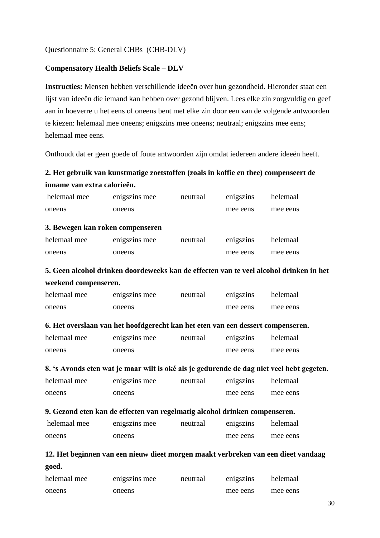Questionnaire 5: General CHBs (CHB-DLV)

## **Compensatory Health Beliefs Scale – DLV**

**Instructies:** Mensen hebben verschillende ideeën over hun gezondheid. Hieronder staat een lijst van ideeën die iemand kan hebben over gezond blijven. Lees elke zin zorgvuldig en geef aan in hoeverre u het eens of oneens bent met elke zin door een van de volgende antwoorden te kiezen: helemaal mee oneens; enigszins mee oneens; neutraal; enigszins mee eens; helemaal mee eens.

Onthoudt dat er geen goede of foute antwoorden zijn omdat iedereen andere ideeën heeft.

# **2. Het gebruik van kunstmatige zoetstoffen (zoals in koffie en thee) compenseert de inname van extra calorieën.**

| helemaal mee                                                                      | enigszins mee                                                                             | neutraal | enigszins | helemaal |  |  |  |  |
|-----------------------------------------------------------------------------------|-------------------------------------------------------------------------------------------|----------|-----------|----------|--|--|--|--|
| oneens                                                                            | oneens                                                                                    |          | mee eens  | mee eens |  |  |  |  |
|                                                                                   | 3. Bewegen kan roken compenseren                                                          |          |           |          |  |  |  |  |
| helemaal mee                                                                      | enigszins mee                                                                             | neutraal | enigszins | helemaal |  |  |  |  |
| oneens                                                                            | oneens                                                                                    |          | mee eens  | mee eens |  |  |  |  |
|                                                                                   | 5. Geen alcohol drinken doordeweeks kan de effecten van te veel alcohol drinken in het    |          |           |          |  |  |  |  |
| weekend compenseren.                                                              |                                                                                           |          |           |          |  |  |  |  |
| helemaal mee                                                                      | enigszins mee                                                                             | neutraal | enigszins | helemaal |  |  |  |  |
| oneens                                                                            | oneens                                                                                    |          | mee eens  | mee eens |  |  |  |  |
|                                                                                   | 6. Het overslaan van het hoofdgerecht kan het eten van een dessert compenseren.           |          |           |          |  |  |  |  |
| helemaal mee                                                                      | enigszins mee                                                                             | neutraal | enigszins | helemaal |  |  |  |  |
| oneens                                                                            | oneens                                                                                    |          | mee eens  | mee eens |  |  |  |  |
|                                                                                   | 8. 's Avonds eten wat je maar wilt is oké als je gedurende de dag niet veel hebt gegeten. |          |           |          |  |  |  |  |
| helemaal mee                                                                      | enigszins mee                                                                             | neutraal | enigszins | helemaal |  |  |  |  |
| oneens                                                                            | oneens                                                                                    |          | mee eens  | mee eens |  |  |  |  |
|                                                                                   | 9. Gezond eten kan de effecten van regelmatig alcohol drinken compenseren.                |          |           |          |  |  |  |  |
| helemaal mee                                                                      | enigszins mee                                                                             | neutraal | enigszins | helemaal |  |  |  |  |
| oneens                                                                            | oneens                                                                                    |          | mee eens  | mee eens |  |  |  |  |
| 12. Het beginnen van een nieuw dieet morgen maakt verbreken van een dieet vandaag |                                                                                           |          |           |          |  |  |  |  |
| goed.                                                                             |                                                                                           |          |           |          |  |  |  |  |

| helemaal mee | enigszins mee | neutraal | enigszins | helemaal |
|--------------|---------------|----------|-----------|----------|
| oneens       | oneens        |          | mee eens  | mee eens |